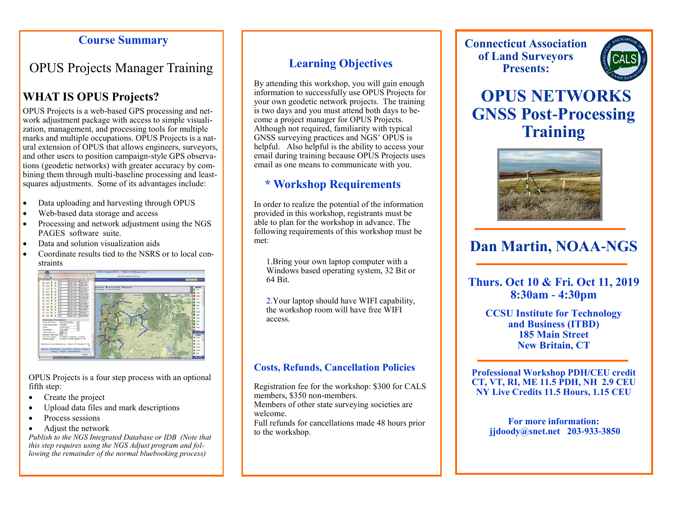#### **Course Summary**

# OPUS Projects Manager Training

## **WHAT IS OPUS Projects?**

OPUS Projects is a web-based GPS processing and network adjustment package with access to simple visualization, management, and processing tools for multiple marks and multiple occupations. OPUS Projects is a natural extension of OPUS that allows engineers, surveyors, and other users to position campaign-style GPS observations (geodetic networks) with greater accuracy by combining them through multi-baseline processing and leastsquares adjustments. Some of its advantages include:

- Data uploading and harvesting through OPUS
- Web-based data storage and access
- Processing and network adjustment using the NGS PAGES software suite.
- Data and solution visualization aids
- Coordinate results tied to the NSRS or to local constraints



OPUS Projects is a four step process with an optional fifth step:

- Create the project
- Upload data files and mark descriptions
- Process sessions
- Adjust the network

*Publish to the NGS Integrated Database or IDB (Note that this step requires using the NGS Adjust program and following the remainder of the normal bluebooking process)*

### **Learning Objectives**

By attending this workshop, you will gain enough information to successfully use OPUS Projects for your own geodetic network projects. The training is two days and you must attend both days to become a project manager for OPUS Projects. Although not required, familiarity with typical GNSS surveying practices and NGS' OPUS is helpful. Also helpful is the ability to access your email during training because OPUS Projects uses email as one means to communicate with you.

## **\* Workshop Requirements**

In order to realize the potential of the information provided in this workshop, registrants must be able to plan for the workshop in advance. The following requirements of this workshop must be met:

1.Bring your own laptop computer with a Windows based operating system, 32 Bit or 64 Bit.

2.Your laptop should have WIFI capability, the workshop room will have free WIFI access.

#### **Costs, Refunds, Cancellation Policies**

Registration fee for the workshop: \$300 for CALS members, \$350 non-members.

Members of other state surveying societies are welcome.

Full refunds for cancellations made 48 hours prior to the workshop.

**Connecticut Association of Land Surveyors Presents:**



# **OPUS NETWORKS GNSS Post-Processing Training**



# **Dan Martin, NOAA-NGS**

**Thurs. Oct 10 & Fri. Oct 11, 2019 8:30am - 4:30pm**

**CCSU Institute for Technology and Business (ITBD) 185 Main Street New Britain, CT**

**Professional Workshop PDH/CEU credit CT, VT, RI, ME 11.5 PDH, NH 2.9 CEU NY Live Credits 11.5 Hours, 1.15 CEU**

> **For more information: jjdoody@snet.net 203-933-3850**